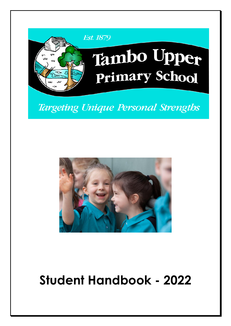

Targeting Unique Personal Strengths



# **Student Handbook - 2022**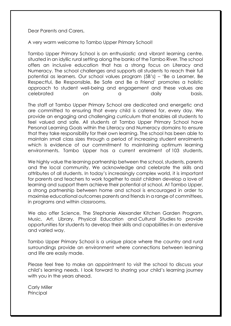Dear Parents and Carers,

A very warm welcome to Tambo Upper Primary School!

Tambo Upper Primary School is an enthusiastic and vibrant learning centre, situated in an idyllic rural setting along the banks of the Tambo River. The school offers an inclusive education that has a strong focus on Literacy and Numeracy. The school challenges and supports all students to reach their full potential as learners. Our school values program (5B's) – 'Be a Learner, Be Respectful, Be Responsible, Be Safe and Be a Friend' promotes a holistic approach to student well-being and engagement and these values are celebrated on a daily basis.

The staff at Tambo Upper Primary School are dedicated and energetic and are committed to ensuring that every child is catered for, every day. We provide an engaging and challenging curriculum that enables all students to feel valued and safe. All students at Tambo Upper Primary School have Personal Learning Goals within the Literacy and Numeracy domains to ensure that they take responsibility for their own learning. The school has been able to maintain small class sizes through a period of increasing student enrolments which is evidence of our commitment to maintaining optimum learning environments. Tambo Upper has a current enrolment of 103 students.

We highly value the learning partnership between the school, students, parents and the local community. We acknowledge and celebrate the skills and attributes of all students. In today's increasingly complex world, it is important for parents and teachers to work together to assist children develop a love of learning and support them achieve their potential at school. At Tambo Upper, a strong partnership between home and school is encouraged in order to maximise educational outcomes parents and friends in a range of committees, in programs and within classrooms.

We also offer Science, The Stephanie Alexander Kitchen Garden Program, Music, Art, Library, Physical Education and Cultural Studies to provide opportunities for students to develop their skills and capabilities in an extensive and varied way.

Tambo Upper Primary School is a unique place where the country and rural surroundings provide an environment where connections between learning and life are easily made.

Please feel free to make an appointment to visit the school to discuss your child's learning needs. I look forward to sharing your child's learning journey with you in the years ahead.

Carly Miller **Principal**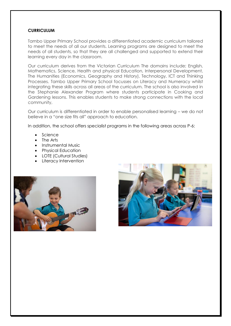## **CURRICULUM**

Tambo Upper Primary School provides a differentiated academic curriculum tailored to meet the needs of all our students. Learning programs are designed to meet the needs of all students, so that they are all challenged and supported to extend their learning every day in the classroom.

Our curriculum derives from the Victorian Curriculum The domains include; English, Mathematics, Science, Health and physical Education, Interpersonal Development, The Humanities (Economics, Geography and History), Technology, ICT and Thinking Processes. Tambo Upper Primary School focusses on Literacy and Numeracy whilst integrating these skills across all areas of the curriculum. The school is also involved in the Stephanie Alexander Program where students participate in Cooking and Gardening lessons. This enables students to make strong connections with the local community,

Our curriculum is differentiated in order to enable personalised learning – we do not believe in a "one size fits all" approach to education.

In addition, the school offers specialist programs in the following areas across P-6:

- Science
- The Arts
- Instrumental Music
- Physical Education
- LOTE (Cultural Studies)
- Literacy Intervention



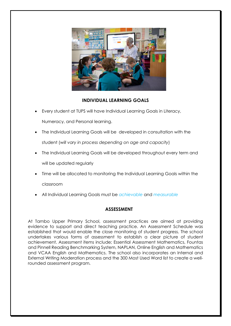

# **INDIVIDUAL LEARNING GOALS**

• Every student at TUPS will have Individual Learning Goals in Literacy,

Numeracy, and Personal learning.

- The Individual Learning Goals will be developed in consultation with the student (*will vary in process depending on age and capacity*)
- The Individual Learning Goals will be developed throughout every term and will be updated regularly
- Time will be allocated to monitoring the Individual Learning Goals within the

classroom

• All Individual Learning Goals must be *achievable* and *measurable*

# **ASSESSMENT**

At Tambo Upper Primary School, assessment practices are aimed at providing evidence to support and direct teaching practice. An Assessment Schedule was established that would enable the close monitoring of student progress. The school undertakes various forms of assessment to establish a clear picture of student achievement. Assessment items include; Essential Assessment Mathematics, Fountas and Pinnell Reading Benchmarking System, NAPLAN, Online English and Mathematics and VCAA English and Mathematics. The school also incorporates an Internal and External Writing Moderation process and the 300 Most Used Word list to create a wellrounded assessment program.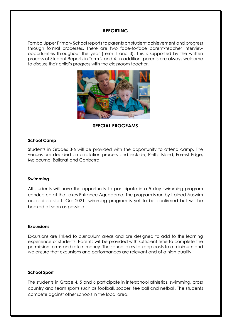#### **REPORTING**

Tambo Upper Primary School reports to parents on student achievement and progress through formal processes. There are two face-to-face parent/teacher interview opportunities throughout the year (Term 1 and 3). This is supported by the written process of Student Reports in Term 2 and 4. In addition, parents are always welcome to discuss their child's progress with the classroom teacher.



**SPECIAL PROGRAMS**

#### **School Camp**

Students in Grades 3-6 will be provided with the opportunity to attend camp. The venues are decided on a rotation process and include; Phillip Island, Forrest Edge, Melbourne, Ballarat and Canberra.

#### **Swimming**

All students will have the opportunity to participate in a 5 day swimming program conducted at the Lakes Entrance Aquadome. The program is run by trained Auswim accredited staff. Our 2021 swimming program is yet to be confirmed but will be booked at soon as possible.

#### **Excursions**

Excursions are linked to curriculum areas and are designed to add to the learning experience of students. Parents will be provided with sufficient time to complete the permission forms and return money. The school aims to keep costs to a minimum and we ensure that excursions and performances are relevant and of a high quality.

#### **School Sport**

The students in Grade 4, 5 and 6 participate in interschool athletics, swimming, cross country and team sports such as football, soccer, tee ball and netball. The students compete against other schools in the local area.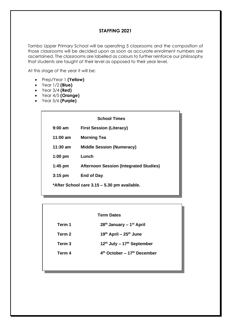## **STAFFING 2021**

Tambo Upper Primary School will be operating 5 classrooms and the composition of those classrooms will be decided upon as soon as accurate enrolment numbers are ascertained. The classrooms are labelled as colours to further reinforce our philosophy that students are taught at their level as opposed to their year level.

At this stage of the year it will be:

- Prep/Year 1 **(Yellow)**
- Year 1/2 **(Blue)**
- Year 3/4 **(Red)**
- Year 4/5 **(Orange)**
- Year 5/6 **(Purple)**

| <b>First Session (Literacy)</b><br><b>Morning Tea</b> |  |
|-------------------------------------------------------|--|
|                                                       |  |
|                                                       |  |
| <b>Middle Session (Numeracy)</b>                      |  |
| Lunch                                                 |  |
| <b>Afternoon Session (Integrated Studies)</b>         |  |
| <b>End of Day</b>                                     |  |
| *After School care 3.15 – 5.30 pm available.          |  |
|                                                       |  |

## **Term Dates**

| Term 1 | $28th$ January – 1 <sup>st</sup> April    |
|--------|-------------------------------------------|
| Term 2 | $19th$ April – $25th$ June                |
| Term 3 | 12th July - 17th September                |
| Term 4 | $4th$ October – 17 <sup>th</sup> December |
|        |                                           |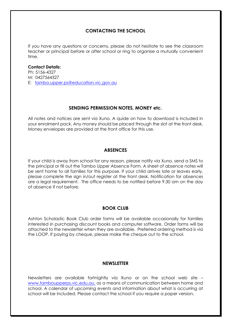# **CONTACTING THE SCHOOL**

If you have any questions or concerns, please do not hesitate to see the classroom teacher or principal before or after school or ring to organise a mutually convenient time.

#### **Contact Details:**

Ph: 5156-4327 M: 0427564327 E: [tambo.upper.ps@education.vic.gov.au](mailto:tambo.upper.ps@education.vic.gov.au)

#### **SENDING PERMISSION NOTES, MONEY etc.**

All notes and notices are sent via Xuno. A quide on how to download is included in your enrolment pack. Any money should be placed through the slot at the front desk. Money envelopes are provided at the front office for this use.

## **ABSENCES**

If your child is away from school for any reason, please notify via Xuno, send a SMS to the principal or fill out the Tambo Upper Absence Form. A sheet of absence notes will be sent home to all families for this purpose. If your child arrives late or leaves early, please complete the sign in/out register at the front desk. Notification for absences are a legal requirement. The office needs to be notified before 9.30 am on the day of absence if not before.

## **BOOK CLUB**

Ashton Scholastic Book Club order forms will be available occasionally for families interested in purchasing discount books and computer software. Order forms will be attached to the newsletter when they are available. Preferred ordering method is via the LOOP. If paying by cheque, please make the cheque out to the school.

#### **NEWSLETTER**

Newsletters are available fortnightly via Xuno or on the school web site – [www.tamboupperps.vic.edu.au,](http://www.tamboupperps.vic.edu.au/) as a means of communication between home and school. A calendar of upcoming events and information about what is occurring at school will be included. Please contact the school if you require a paper version.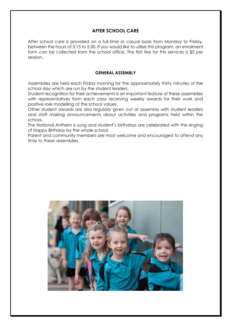# **AFTER SCHOOL CARE**

After school care is provided on a full-time or casual basis from Monday to Friday, between the hours of 3:15 to 5:30. If you would like to utilise this program, an enrolment form can be collected from the school office. The flat fee for this services is \$5 per session.

#### **GENERAL ASSEMBLY**

Assemblies are held each Friday morning for the approximately thirty minutes of the school day which are run by the student leaders.

Student recognition for their achievements is an important feature of these assemblies with representatives from each class receiving weekly awards for their work and positive role modelling of the school values.

Other student awards are also regularly given out at assembly with student leaders and staff making announcements about activities and programs held within the school.

The National Anthem is sung and student's birthdays are celebrated with the singing of Happy Birthday by the whole school.

Parent and community members are most welcome and encouraged to attend any time to these assemblies.

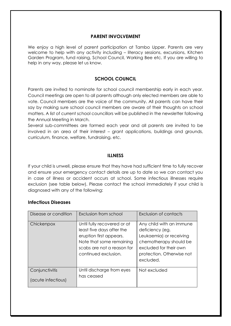## **PARENT INVOLVEMENT**

We enjoy a high level of parent participation at Tambo Upper. Parents are very welcome to help with any activity including – literacy sessions, excursions, Kitchen Garden Program, fund raising, School Council, Working Bee etc. If you are willing to help in any way, please let us know.

# **SCHOOL COUNCIL**

Parents are invited to nominate for school council membership early in each year. Council meetings are open to all parents although only elected members are able to vote. Council members are the voice of the community. All parents can have their say by making sure school council members are aware of their thoughts on school matters. A list of current school councillors will be published in the newsletter following the Annual Meeting in March.

Several sub-committees are formed each year and all parents are invited to be involved in an area of their interest – grant applications, buildings and grounds, curriculum, finance, welfare, fundraising. etc.

## **ILLNESS**

If your child is unwell, please ensure that they have had sufficient time to fully recover and ensure your emergency contact details are up to date so we can contact you in case of illness or accident occurs at school. Some infectious illnesses require exclusion (see table below). Please contact the school immediately if your child is diagnosed with any of the following:

## **Infectious Diseases**

| Disease or condition                 | Exclusion from school                                                                                                                                                 | Exclusion of contacts                                                                                                                                                |
|--------------------------------------|-----------------------------------------------------------------------------------------------------------------------------------------------------------------------|----------------------------------------------------------------------------------------------------------------------------------------------------------------------|
| Chickenpox                           | Until fully recovered or at<br>least five days after the<br>eruption first appears.<br>Note that some remaining<br>scabs are not a reason for<br>continued exclusion. | Any child with an immune<br>deficiency (eg.<br>Leukaemia) or receiving<br>chemotherapy should be<br>excluded for their own<br>protection. Otherwise not<br>excluded. |
| Conjunctivitis<br>(acute infectious) | Until discharge from eyes<br>has ceased                                                                                                                               | Not excluded                                                                                                                                                         |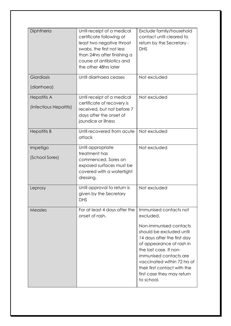| Diphtheria                                   | Until receipt of a medical<br>certificate following at<br>least two negative throat<br>swabs, the first not less<br>than 24hrs after finishing a<br>course of antibiotics and<br>the other 48hrs later | Exclude family/household<br>contact until cleared to<br>return by the Secretary -<br><b>DHS</b>                                                                                                                                                                              |
|----------------------------------------------|--------------------------------------------------------------------------------------------------------------------------------------------------------------------------------------------------------|------------------------------------------------------------------------------------------------------------------------------------------------------------------------------------------------------------------------------------------------------------------------------|
| Giardiasis                                   | Until diarrhoea ceases                                                                                                                                                                                 | Not excluded                                                                                                                                                                                                                                                                 |
| (diarrhoea)                                  |                                                                                                                                                                                                        |                                                                                                                                                                                                                                                                              |
| <b>Hepatitis A</b><br>(Infectious Hepatitis) | Until receipt of a medical<br>certificate of recovery is<br>received, but not before 7<br>days after the onset of<br>jaundice or illness                                                               | Not excluded                                                                                                                                                                                                                                                                 |
| <b>Hepatitis B</b>                           | Until recovered from acute<br>attack                                                                                                                                                                   | Not excluded                                                                                                                                                                                                                                                                 |
| Impetigo<br>(School Sores)                   | Until appropriate<br>treatment has<br>commenced. Sores on<br>exposed surfaces must be<br>covered with a watertight<br>dressing.                                                                        | Not excluded                                                                                                                                                                                                                                                                 |
| Leprosy                                      | Until approval to return is<br>given by the Secretary<br><b>DHS</b>                                                                                                                                    | Not excluded                                                                                                                                                                                                                                                                 |
| Measles                                      | For at least 4 days after the<br>onset of rash.                                                                                                                                                        | Immunised contacts not<br>excluded.                                                                                                                                                                                                                                          |
|                                              |                                                                                                                                                                                                        | Non-immunised contacts<br>should be excluded until<br>14 days after the first day<br>of appearance of rash in<br>the last case. If non-<br>immunised contacts are<br>vaccinated within 72 hrs of<br>their first contact with the<br>first case they may return<br>to school. |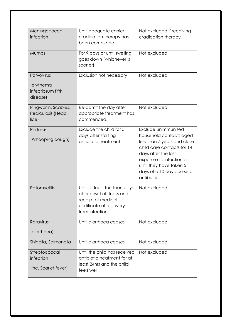| Meningococcal<br>infection                               | Until adequate carrier<br>eradication therapy has<br>been completed                                                           | Not excluded if receiving<br>eradication therapy                                                                                                                                                                                        |
|----------------------------------------------------------|-------------------------------------------------------------------------------------------------------------------------------|-----------------------------------------------------------------------------------------------------------------------------------------------------------------------------------------------------------------------------------------|
| Mumps                                                    | For 9 days or until swelling<br>goes down (whichever is<br>sooner)                                                            | Not excluded                                                                                                                                                                                                                            |
| Parvovirus<br>(erythema<br>infectiosum fifth<br>disease) | Exclusion not necessary                                                                                                       | Not excluded                                                                                                                                                                                                                            |
| Ringworm, Scabies,<br>Pediculosis (Head<br>lice)         | Re-admit the day after<br>appropriate treatment has<br>commenced.                                                             | Not excluded                                                                                                                                                                                                                            |
| Pertussis<br>(Whooping cough)                            | Exclude the child for 5<br>days after starting<br>antibiotic treatment.                                                       | Exclude unimmunised<br>household contacts aged<br>less than 7 years and close<br>child care contacts for 14<br>days after the last<br>exposure to infection or<br>until they have taken 5<br>days of a 10 day course of<br>antibiotics. |
| Poliomyelitis                                            | Until at least fourteen days<br>after onset of illness and<br>receipt of medical<br>certificate of recovery<br>from infection | Not excluded                                                                                                                                                                                                                            |
| Rotavirus                                                | Until diarrhoea ceases                                                                                                        | Not excluded                                                                                                                                                                                                                            |
| (diarrhoea)                                              |                                                                                                                               |                                                                                                                                                                                                                                         |
| Shigella, Salmonella                                     | Until diarrhoea ceases                                                                                                        | Not excluded                                                                                                                                                                                                                            |
| Streptococcal<br>infection<br>(inc. Scarlet fever)       | Until the child has received<br>antibiotic treatment for at<br>least 24hrs and the child<br>feels well                        | Not excluded                                                                                                                                                                                                                            |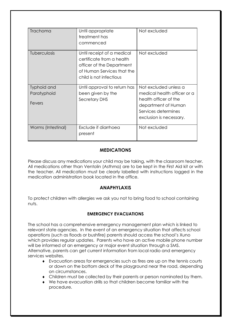| Trachoma           | Until appropriate<br>treatment has<br>commenced                                                                                               | Not excluded                                                                                   |
|--------------------|-----------------------------------------------------------------------------------------------------------------------------------------------|------------------------------------------------------------------------------------------------|
| Tuberculosis       | Until receipt of a medical<br>certificate from a health<br>officer of the Department<br>of Human Services that the<br>child is not infectious | Not excluded                                                                                   |
| Typhoid and        | Until approval to return has                                                                                                                  | Not excluded unless a                                                                          |
| Paratyphoid        | been given by the                                                                                                                             | medical health officer or a                                                                    |
| Fevers             | <b>Secretary DHS</b>                                                                                                                          | health officer of the<br>department of Human<br>Services determines<br>exclusion is necessary. |
| Worms (Intestinal) | Exclude if diarrhoea<br>present                                                                                                               | Not excluded                                                                                   |

# **MEDICATIONS**

Please discuss any medications your child may be taking, with the classroom teacher. All medications other than Ventolin (Asthma) are to be kept in the First Aid kit or with the teacher. All medication must be clearly labelled with instructions logged in the medication administration book located in the office.

# **ANAPHYLAXIS**

To protect children with allergies we ask you not to bring food to school containing nuts.

# **EMERGENCY EVACUATIONS**

The school has a comprehensive emergency management plan which is linked to relevant state agencies. In the event of an emergency situation that affects school operations (such as floods or bushfire) parents should access the school's Xuno which provides regular updates. Parents who have an active mobile phone number will be informed of an emergency or major event situation through a SMS. Alternative, parents can get current information from local radio and emergency services websites.

- Evacuation areas for emergencies such as fires are up on the tennis courts or down on the bottom deck of the playground near the road, depending on circumstances.
- Children must be collected by their parents or person nominated by them.
- We have evacuation drills so that children become familiar with the procedure.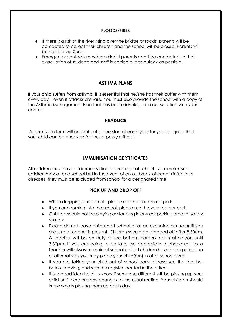#### **FLOODS/FIRES**

- If there is a risk of the river rising over the bridge or roads, parents will be contacted to collect their children and the school will be closed. Parents will be notified via Xuno.
- Emergency contacts may be called if parents can't be contacted so that evacuation of students and staff is carried out as quickly as possible.

# **ASTHMA PLANS**

If your child suffers from asthma, it is essential that he/she has their puffer with them every day – even if attacks are rare. You must also provide the school with a copy of the Asthma Management Plan that has been developed in consultation with your doctor.

## **HEADLICE**

A permission form will be sent out at the start of each year for you to sign so that your child can be checked for these 'pesky critters'.

# **IMMUNISATION CERTIFICATES**

All children must have an immunisation record kept at school. Non-immunised children may attend school but in the event of an outbreak of certain infectious diseases, they must be excluded from school for a designated time.

# **PICK UP AND DROP OFF**

- When dropping children off, please use the bottom carpark.
- If you are coming into the school, please use the very top car park.
- Children should not be playing or standing in any car parking area for safety reasons.
- Please do not leave children at school or at an excursion venue until you are sure a teacher is present. Children should be dropped off after 8.30am. A teacher will be on duty at the bottom carpark each afternoon until 3.30pm. If you are going to be late, we appreciate a phone call as a teacher will always remain at school until all children have been picked up or alternatively you may place your child(ren) in after school care.
- If you are taking your child out of school early, please see the teacher before leaving, and sign the register located in the office.
- It is a good idea to let us know if someone different will be picking up your child or if there are any changes to the usual routine. Your children should know who is picking them up each day.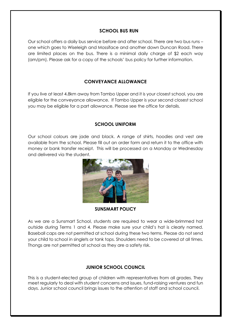# **SCHOOL BUS RUN**

Our school offers a daily bus service before and after school. There are two bus runs – one which goes to Wiseleigh and Mossiface and another down Duncan Road. There are limited places on the bus. There is a minimal daily charge of \$2 each way (am/pm). Please ask for a copy of the schools' bus policy for further information.

# **CONVEYANCE ALLOWANCE**

If you live at least 4.8km away from Tambo Upper and it is your closest school, you are eligible for the conveyance allowance. If Tambo Upper is your second closest school you may be eligible for a part allowance. Please see the office for details.

# **SCHOOL UNIFORM**

Our school colours are jade and black. A range of shirts, hoodies and vest are available from the school. Please fill out an order form and return it to the office with money or bank transfer receipt. This will be processed on a Monday or Wednesday and delivered via the student.



## **SUNSMART POLICY**

As we are a Sunsmart School, students are required to wear a wide-brimmed hat outside during Terms 1 and 4. Please make sure your child's hat is clearly named. Baseball caps are not permitted at school during these two terms. Please do not send your child to school in singlets or tank tops. Shoulders need to be covered at all times. Thongs are not permitted at school as they are a safety risk.

# **JUNIOR SCHOOL COUNCIL**

This is a student-elected group of children with representatives from all grades. They meet regularly to deal with student concerns and issues, fund-raising ventures and fun days. Junior school council brings issues to the attention of staff and school council.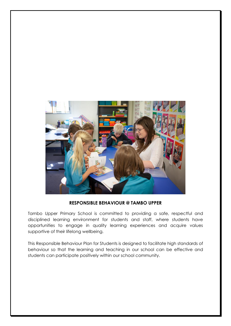

## **RESPONSIBLE BEHAVIOUR @ TAMBO UPPER**

Tambo Upper Primary School is committed to providing a safe, respectful and disciplined learning environment for students and staff, where students have opportunities to engage in quality learning experiences and acquire values supportive of their lifelong wellbeing.

This Responsible Behaviour Plan for Students is designed to facilitate high standards of behaviour so that the learning and teaching in our school can be effective and students can participate positively within our school community.